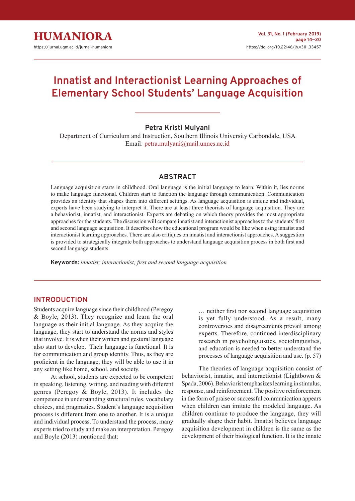

# **Innatist and Interactionist Learning Approaches of Elementary School Students' Language Acquisition**

# **Petra Kristi Mulyani**

Department of Curriculum and Instruction, Southern Illinois University Carbondale, USA Email: [petra.mulyani@mail.unnes.ac.id](mailto:petra.mulyani%40mail.unnes.ac.id?subject=)

# **ABSTRACT**

Language acquisition starts in childhood. Oral language is the initial language to learn. Within it, lies norms to make language functional. Children start to function the language through communication. Communication provides an identity that shapes them into different settings. As language acquisition is unique and individual, experts have been studying to interpret it. There are at least three theorists of language acquisition. They are a behaviorist, innatist, and interactionist. Experts are debating on which theory provides the most appropriate approaches for the students. The discussion will compare innatist and interactionist approaches to the students' first and second language acquisition. It describes how the educational program would be like when using innatist and interactionist learning approaches. There are also critiques on innatist and interactionist approaches. A suggestion is provided to strategically integrate both approaches to understand language acquisition process in both first and second language students.

**Keywords:** *innatist; interactionist; first and second language acquisition*

# **INTRODUCTION**

Students acquire language since their childhood (Peregoy & Boyle, 2013). They recognize and learn the oral language as their initial language. As they acquire the language, they start to understand the norms and styles that involve. It is when their written and gestural language also start to develop. Their language is functional. It is for communication and group identity. Thus, as they are proficient in the language, they will be able to use it in any setting like home, school, and society.

At school, students are expected to be competent in speaking, listening, writing, and reading with different genres (Peregoy & Boyle, 2013). It includes the competence in understanding structural rules, vocabulary choices, and pragmatics. Student's language acquisition process is different from one to another. It is a unique and individual process. To understand the process, many experts tried to study and make an interpretation. Peregoy and Boyle (2013) mentioned that:

… neither first nor second language acquisition is yet fully understood. As a result, many controversies and disagreements prevail among experts. Therefore, continued interdisciplinary research in psycholinguistics, sociolinguistics, and education is needed to better understand the processes of language acquisition and use. (p. 57)

The theories of language acquisition consist of behaviorist, innatist, and interactionist (Lightbown & Spada, 2006). Behaviorist emphasizes learning in stimulus, response, and reinforcement. The positive reinforcement in the form of praise or successful communication appears when children can imitate the modeled language. As children continue to produce the language, they will gradually shape their habit. Innatist believes language acquisition development in children is the same as the development of their biological function. It is the innate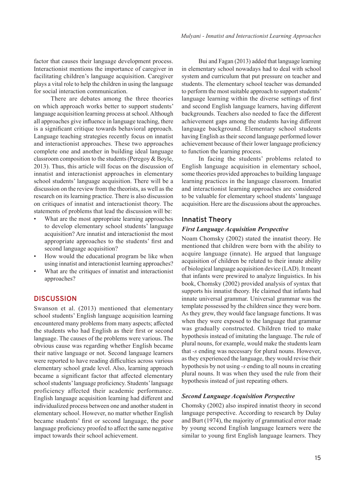factor that causes their language development process. Interactionist mentions the importance of caregiver in facilitating children's language acquisition. Caregiver plays a vital role to help the children in using the language for social interaction communication.

There are debates among the three theories on which approach works better to support students' language acquisition learning process at school. Although all approaches give influence in language teaching, there is a significant critique towards behavioral approach. Language teaching strategies recently focus on innatist and interactionist approaches. These two approaches complete one and another in building ideal language classroom composition to the students (Peregoy & Boyle, 2013). Thus, this article will focus on the discussion of innatist and interactionist approaches in elementary school students' language acquisition. There will be a discussion on the review from the theorists, as well as the research on its learning practice. There is also discussion on critiques of innatist and interactionist theory. The statements of problems that lead the discussion will be:

- What are the most appropriate learning approaches to develop elementary school students' language acquisition? Are innatist and interactionist the most appropriate approaches to the students' first and second language acquisition?
- How would the educational program be like when using innatist and interactionist learning approaches?
- What are the critiques of innatist and interactionist approaches?

# **DISCUSSION**

Swanson et al. (2013) mentioned that elementary school students' English language acquisition learning encountered many problems from many aspects; affected the students who had English as their first or second language. The causes of the problems were various. The obvious cause was regarding whether English became their native language or not. Second language learners were reported to have reading difficulties across various elementary school grade level. Also, learning approach became a significant factor that affected elementary school students' language proficiency. Students' language proficiency affected their academic performance. English language acquisition learning had different and individualized process between one and another student in elementary school. However, no matter whether English became students' first or second language, the poor language proficiency proofed to affect the same negative impact towards their school achievement.

Bui and Fagan (2013) added that language learning in elementary school nowadays had to deal with school system and curriculum that put pressure on teacher and students. The elementary school teacher was demanded to perform the most suitable approach to support students' language learning within the diverse settings of first and second English language learners, having different backgrounds. Teachers also needed to face the different achievement gaps among the students having different language background. Elementary school students having English as their second language performed lower achievement because of their lower language proficiency to function the learning process.

In facing the students' problems related to English language acquisition in elementary school, some theories provided approaches to building language learning practices in the language classroom. Innatist and interactionist learning approaches are considered to be valuable for elementary school students' language acquisition. Here are the discussions about the approaches.

## **Innatist Theory**

#### *First Language Acquisition Perspective*

Noam Chomsky (2002) stated the innatist theory. He mentioned that children were born with the ability to acquire language (innate). He argued that language acquisition of children be related to their innate ability of biological language acquisition device (LAD). It meant that infants were prewired to analyze linguistics. In his book, Chomsky (2002) provided analysis of syntax that supports his innatist theory. He claimed that infants had innate universal grammar. Universal grammar was the template possessed by the children since they were born. As they grew, they would face language functions. It was when they were exposed to the language that grammar was gradually constructed. Children tried to make hypothesis instead of imitating the language. The rule of plural nouns, for example, would make the students learn that *-s* ending was necessary for plural nouns. However, as they experienced the language, they would revise their hypothesis by not using *-s* ending to all nouns in creating plural nouns. It was when they used the rule from their hypothesis instead of just repeating others.

#### *Second Language Acquisition Perspective*

Chomsky (2002) also inspired innatist theory in second language perspective. According to research by Dulay and Burt (1974), the majority of grammatical error made by young second English language learners were the similar to young first English language learners. They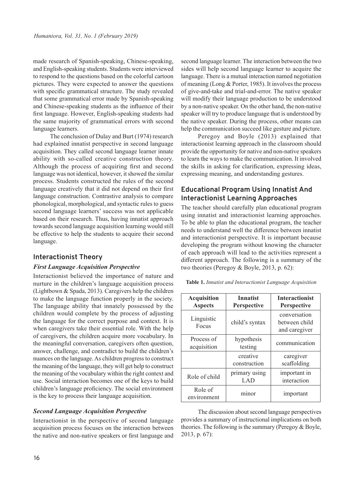made research of Spanish-speaking, Chinese-speaking, and English-speaking students. Students were interviewed to respond to the questions based on the colorful cartoon pictures. They were expected to answer the questions with specific grammatical structure. The study revealed that some grammatical error made by Spanish-speaking and Chinese-speaking students as the influence of their first language. However, English-speaking students had the same majority of grammatical errors with second language learners.

The conclusion of Dulay and Burt (1974) research had explained innatist perspective in second language acquisition. They called second language learner innate ability with so-called creative construction theory. Although the process of acquiring first and second language was not identical, however, it showed the similar process. Students constructed the rules of the second language creatively that it did not depend on their first language construction. Contrastive analysis to compare phonological, morphological, and syntactic rules to guess second language learners' success was not applicable based on their research. Thus, having innatist approach towards second language acquisition learning would still be effective to help the students to acquire their second language.

## **Interactionist Theory**

#### *First Language Acquisition Perspective*

Interactionist believed the importance of nature and nurture in the children's language acquisition process (Lightbown & Spada, 2013). Caregivers help the children to make the language function properly in the society. The language ability that innately possessed by the children would complete by the process of adjusting the language for the correct purpose and context. It is when caregivers take their essential role. With the help of caregivers, the children acquire more vocabulary. In the meaningful conversation, caregivers often question, answer, challenge, and contradict to build the children's nuances on the language. As children progress to construct the meaning of the language, they will get help to construct the meaning of the vocabulary within the right context and use. Social interaction becomes one of the keys to build children's language proficiency. The social environment is the key to process their language acquisition.

#### *Second Language Acquisition Perspective*

Interactionist in the perspective of second language acquisition process focuses on the interaction between the native and non-native speakers or first language and second language learner. The interaction between the two sides will help second language learner to acquire the language. There is a mutual interaction named negotiation of meaning (Long & Porter, 1985). It involves the process of give-and-take and trial-and-error. The native speaker will modify their language production to be understood by a non-native speaker. On the other hand, the non-native speaker will try to produce language that is understood by the native speaker. During the process, other means can help the communication succeed like gesture and picture.

Peregoy and Boyle (2013) explained that interactionist learning approach in the classroom should provide the opportunity for native and non-native speakers to learn the ways to make the communication. It involved the skills in asking for clarification, expressing ideas, expressing meaning, and understanding gestures.

# **Educational Program Using Innatist And Interactionist Learning Approaches**

The teacher should carefully plan educational program using innatist and interactionist learning approaches. To be able to plan the educational program, the teacher needs to understand well the difference between innatist and interactionist perspective. It is important because developing the program without knowing the character of each approach will lead to the activities represent a different approach. The following is a summary of the two theories (Peregoy & Boyle, 2013, p. 62):

**Table 1.** *Innatist and Interactionist Language Acquisition*

| <b>Acquisition</b><br><b>Aspects</b> | <b>Innatist</b><br><b>Perspective</b> | <b>Interactionist</b><br><b>Perspective</b>    |
|--------------------------------------|---------------------------------------|------------------------------------------------|
| Linguistic<br>Focus                  | child's syntax                        | conversation<br>between child<br>and caregiver |
| Process of<br>acquisition            | hypothesis<br>testing                 | communication                                  |
|                                      | creative<br>construction              | caregiver<br>scaffolding                       |
| Role of child                        | primary using<br>LAD                  | important in<br>interaction                    |
| Role of<br>environment               | minor                                 | important                                      |

The discussion about second language perspectives provides a summary of instructional implications on both theories. The following is the summary (Peregoy & Boyle, 2013, p. 67):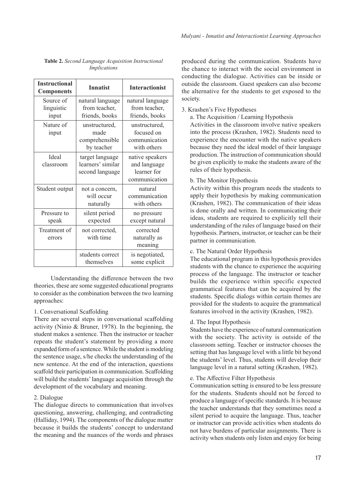| <b>Instructional</b><br><b>Components</b> | <b>Innatist</b>                                         | <b>Interactionist</b>                                           |
|-------------------------------------------|---------------------------------------------------------|-----------------------------------------------------------------|
| Source of<br>linguistic<br>input          | natural language<br>from teacher,<br>friends, books     | natural language<br>from teacher,<br>friends, books             |
| Nature of<br>input                        | unstructured,<br>made<br>comprehensible<br>by teacher   | unstructured,<br>focused on<br>communication<br>with others     |
| Ideal<br>classroom                        | target language<br>learners' similar<br>second language | native speakers<br>and language<br>learner for<br>communication |
| Student output                            | not a concern,<br>will occur<br>naturally               | natural<br>communication<br>with others                         |
| Pressure to<br>speak                      | silent period<br>expected                               | no pressure<br>except natural                                   |
| Treatment of<br>errors                    | not corrected,<br>with time                             | corrected<br>naturally as<br>meaning                            |
|                                           | students correct<br>themselves                          | is negotiated,<br>some explicit                                 |

**Table 2.** *Second Language Acquisition Instructional Implications*

Understanding the difference between the two theories, these are some suggested educational programs to consider as the combination between the two learning approaches:

#### 1. Conversational Scaffolding

There are several steps in conversational scaffolding activity (Ninio & Bruner, 1978). In the beginning, the student makes a sentence. Then the instructor or teacher repeats the student's statement by providing a more expanded form of a sentence. While the student is modeling the sentence usage, s/he checks the understanding of the new sentence. At the end of the interaction, questions scaffold their participation in communication. Scaffolding will build the students' language acquisition through the development of the vocabulary and meaning.

#### 2. Dialogue

The dialogue directs to communication that involves questioning, answering, challenging, and contradicting (Halliday, 1994). The components of the dialogue matter because it builds the students' concept to understand the meaning and the nuances of the words and phrases produced during the communication. Students have the chance to interact with the social environment in conducting the dialogue. Activities can be inside or outside the classroom. Guest speakers can also become the alternative for the students to get exposed to the society.

#### 3. Krashen's Five Hypotheses

a. The Acquisition / Learning Hypothesis

Activities in the classroom involve native speakers into the process (Krashen, 1982). Students need to experience the encounter with the native speakers because they need the ideal model of their language production. The instruction of communication should be given explicitly to make the students aware of the rules of their hypothesis.

## b. The Monitor Hypothesis

Activity within this program needs the students to apply their hypothesis by making communication (Krashen, 1982). The communication of their ideas is done orally and written. In communicating their ideas, students are required to explicitly tell their understanding of the rules of language based on their hypothesis. Partners, instructor, or teacher can be their partner in communication.

#### c. The Natural Order Hypothesis

The educational program in this hypothesis provides students with the chance to experience the acquiring process of the language. The instructor or teacher builds the experience within specific expected grammatical features that can be acquired by the students. Specific dialogs within certain themes are provided for the students to acquire the grammatical features involved in the activity (Krashen, 1982).

#### d. The Input Hypothesis

Students have the experience of natural communication with the society. The activity is outside of the classroom setting. Teacher or instructor chooses the setting that has language level with a little bit beyond the students' level. Thus, students will develop their language level in a natural setting (Krashen, 1982).

#### e. The Affective Filter Hypothesis

Communication setting is ensured to be less pressure for the students. Students should not be forced to produce a language of specific standards. It is because the teacher understands that they sometimes need a silent period to acquire the language. Thus, teacher or instructor can provide activities when students do not have burdens of particular assignments. There is activity when students only listen and enjoy for being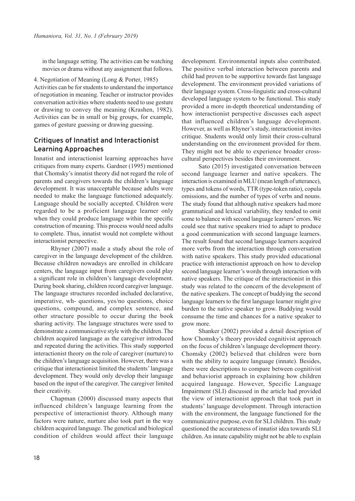in the language setting. The activities can be watching movies or drama without any assignment that follows.

4. Negotiation of Meaning (Long & Porter, 1985)

Activities can be for students to understand the importance of negotiation in meaning. Teacher or instructor provides conversation activities where students need to use gesture or drawing to convey the meaning (Krashen, 1982). Activities can be in small or big groups, for example, games of gesture guessing or drawing guessing.

# **Critiques of Innatist and Interactionist Learning Approaches**

Innatist and interactionist learning approaches have critiques from many experts. Gardner (1995) mentioned that Chomsky's innatist theory did not regard the role of parents and caregivers towards the children's language development. It was unacceptable because adults were needed to make the language functioned adequately. Language should be socially accepted. Children were regarded to be a proficient language learner only when they could produce language within the specific construction of meaning. This process would need adults to complete. Thus, innatist would not complete without interactionist perspective.

Rhyner (2007) made a study about the role of caregiver in the language development of the children. Because children nowadays are enrolled in childcare centers, the language input from caregivers could play a significant role in children's language development. During book sharing, children record caregiver language. The language structures recorded included declarative, imperative, wh- questions, yes/no questions, choice questions, compound, and complex sentence, and other structure possible to occur during the book sharing activity. The language structures were used to demonstrate a communicative style with the children. The children acquired language as the caregiver introduced and repeated during the activities. This study supported interactionist theory on the role of caregiver (nurture) to the children's language acquisition. However, there was a critique that interactionist limited the students' language development. They would only develop their language based on the input of the caregiver. The caregiver limited their creativity.

Chapman (2000) discussed many aspects that influenced children's language learning from the perspective of interactionist theory. Although many factors were nature, nurture also took part in the way children acquired language. The genetical and biological condition of children would affect their language

development. Environmental inputs also contributed. The positive verbal interaction between parents and child had proven to be supportive towards fast language development. The environment provided variations of their language system. Cross-linguistic and cross-cultural developed language system to be functional. This study provided a more in-depth theoretical understanding of how interactionist perspective discusses each aspect that influenced children's language development. However, as well as Rhyner's study, interactionist invites critique. Students would only limit their cross-cultural understanding on the environment provided for them. They might not be able to experience broader crosscultural perspectives besides their environment.

Sato (2015) investigated conversation between second language learner and native speakers. The interaction is examined in MLU (mean length of utterance), types and tokens of words, TTR (type-token ratio), copula omissions, and the number of types of verbs and nouns. The study found that although native speakers had more grammatical and lexical variability, they tended to omit some to balance with second language learners' errors. We could see that native speakers tried to adapt to produce a good communication with second language learners. The result found that second language learners acquired more verbs from the interaction through conversation with native speakers. This study provided educational practice with interactionist approach on how to develop second language learner's words through interaction with native speakers. The critique of the interactionist in this study was related to the concern of the development of the native speakers. The concept of buddying the second language learners to the first language learner might give burden to the native speaker to grow. Buddying would consume the time and chances for a native speaker to grow more.

Shanker (2002) provided a detail description of how Chomsky's theory provided cognitivist approach on the focus of children's language development theory. Chomsky (2002) believed that children were born with the ability to acquire language (innate). Besides, there were descriptions to compare between cognitivist and behaviorist approach in explaining how children acquired language. However, Specific Language Impairment (SLI) discussed in the article had provided the view of interactionist approach that took part in students' language development. Through interaction with the environment, the language functioned for the communicative purpose, even for SLI children. This study questioned the accurateness of innatist idea towards SLI children. An innate capability might not be able to explain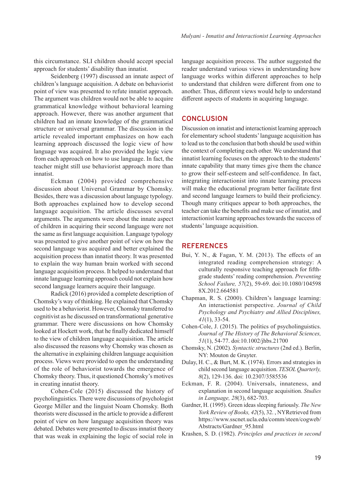this circumstance. SLI children should accept special approach for students' disability than innatist.

Seidenberg (1997) discussed an innate aspect of children's language acquisition. A debate on behaviorist point of view was presented to refute innatist approach. The argument was children would not be able to acquire grammatical knowledge without behavioral learning approach. However, there was another argument that children had an innate knowledge of the grammatical structure or universal grammar. The discussion in the article revealed important emphasizes on how each learning approach discussed the logic view of how language was acquired. It also provided the logic view from each approach on how to use language. In fact, the teacher might still use behaviorist approach more than innatist.

Eckman (2004) provided comprehensive discussion about Universal Grammar by Chomsky. Besides, there was a discussion about language typology. Both approaches explained how to develop second language acquisition. The article discusses several arguments. The arguments were about the innate aspect of children in acquiring their second language were not the same as first language acquisition. Language typology was presented to give another point of view on how the second language was acquired and better explained the acquisition process than innatist theory. It was presented to explain the way human brain worked with second language acquisition process. It helped to understand that innate language learning approach could not explain how second language learners acquire their language.

Radick (2016) provided a complete description of Chomsky's way of thinking. He explained that Chomsky used to be a behaviorist. However, Chomsky transferred to cognitivist as he discussed on transformational generative grammar. There were discussions on how Chomsky looked at Hockett work, that he finally dedicated himself to the view of children language acquisition. The article also discussed the reasons why Chomsky was chosen as the alternative in explaining children language acquisition process. Views were provided to open the understanding of the role of behaviorist towards the emergence of Chomsky theory. Thus, it questioned Chomsky's motives in creating innatist theory.

Cohen-Cole (2015) discussed the history of psycholinguistics. There were discussions of psychologist George Miller and the linguist Noam Chomsky. Both theorists were discussed in the article to provide a different point of view on how language acquisition theory was debated. Debates were presented to discuss innatist theory that was weak in explaining the logic of social role in

language acquisition process. The author suggested the reader understand various views in understanding how language works within different approaches to help to understand that children were different from one to another. Thus, different views would help to understand different aspects of students in acquiring language.

# **CONCLUSION**

Discussion on innatist and interactionist learning approach for elementary school students' language acquisition has to lead us to the conclusion that both should be used within the context of completing each other. We understand that innatist learning focuses on the approach to the students' innate capability that many times give them the chance to grow their self-esteem and self-confidence. In fact, integrating interactionist into innate learning process will make the educational program better facilitate first and second language learners to build their proficiency. Though many critiques appear to both approaches, the teacher can take the benefits and make use of innatist, and interactionist learning approaches towards the success of students' language acquisition.

# **REFERENCES**

- Bui, Y. N., & Fagan, Y. M. (2013). The effects of an integrated reading comprehension strategy: A culturally responsive teaching approach for fifthgrade students' reading comprehension. *Preventing School Failure, 57*(2), 59-69. doi:10.1080/104598 8X.2012.664581
- Chapman, R. S. (2000). Children's language learning: An interactionist perspective. *Journal of Child Psychology and Psychiatry and Allied Disciplines, 41*(1), 33-54.
- Cohen-Cole, J. (2015). The politics of psycholinguistics. *Journal of The History of The Behavioral Sciences, 51*(1), 54-77. doi:10.1002/jhbs.21700
- Chomsky, N. (2002). *Syntactic structures* (2nd ed.). Berlin, NY: Mouton de Gruyter.
- Dulay, H. C., & Burt, M. K. (1974). Errors and strategies in child second language acquisition. *TESOL Quarterly, 8*(2), 129-136. doi: 10.2307/3585536
- Eckman, F. R. (2004). Universals, innateness, and explanation in second language acquisition. *Studies in Language, 28*(3), 682-703.
- Gardner, H. (1995). Green ideas sleeping furiously. *The New York Review of Books, 42*(5), 32. , NYRetrieved from https://www.sscnet.ucla.edu/comm/steen/cogweb/ Abstracts/Gardner\_95.html
- Krashen, S. D. (1982). *Principles and practices in second*